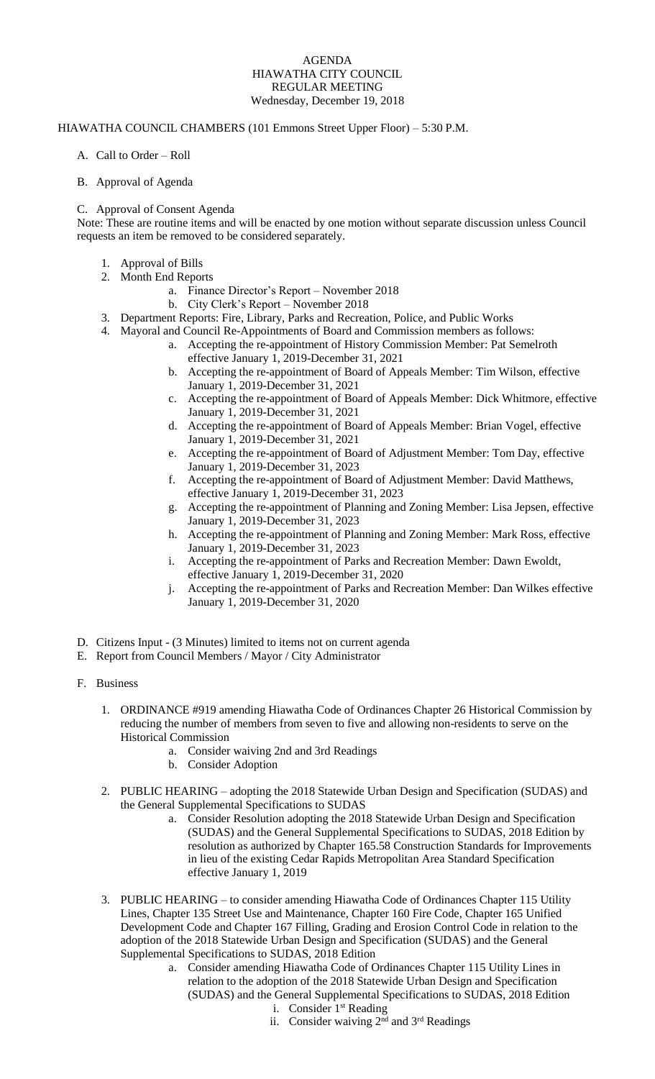## AGENDA HIAWATHA CITY COUNCIL REGULAR MEETING Wednesday, December 19, 2018

## HIAWATHA COUNCIL CHAMBERS (101 Emmons Street Upper Floor) – 5:30 P.M.

- A. Call to Order Roll
- B. Approval of Agenda

## C. Approval of Consent Agenda

Note: These are routine items and will be enacted by one motion without separate discussion unless Council requests an item be removed to be considered separately.

- 1. Approval of Bills
- 2. Month End Reports
	- a. Finance Director's Report November 2018
	- b. City Clerk's Report November 2018
- 3. Department Reports: Fire, Library, Parks and Recreation, Police, and Public Works
- 4. Mayoral and Council Re-Appointments of Board and Commission members as follows:
	- a. Accepting the re-appointment of History Commission Member: Pat Semelroth effective January 1, 2019-December 31, 2021
	- b. Accepting the re-appointment of Board of Appeals Member: Tim Wilson, effective January 1, 2019-December 31, 2021
	- c. Accepting the re-appointment of Board of Appeals Member: Dick Whitmore, effective January 1, 2019-December 31, 2021
	- d. Accepting the re-appointment of Board of Appeals Member: Brian Vogel, effective January 1, 2019-December 31, 2021
	- e. Accepting the re-appointment of Board of Adjustment Member: Tom Day, effective January 1, 2019-December 31, 2023
	- f. Accepting the re-appointment of Board of Adjustment Member: David Matthews, effective January 1, 2019-December 31, 2023
	- g. Accepting the re-appointment of Planning and Zoning Member: Lisa Jepsen, effective January 1, 2019-December 31, 2023
	- h. Accepting the re-appointment of Planning and Zoning Member: Mark Ross, effective January 1, 2019-December 31, 2023
	- i. Accepting the re-appointment of Parks and Recreation Member: Dawn Ewoldt, effective January 1, 2019-December 31, 2020
	- j. Accepting the re-appointment of Parks and Recreation Member: Dan Wilkes effective January 1, 2019-December 31, 2020
- D. Citizens Input (3 Minutes) limited to items not on current agenda
- E. Report from Council Members / Mayor / City Administrator
- F. Business
	- 1. ORDINANCE #919 amending Hiawatha Code of Ordinances Chapter 26 Historical Commission by reducing the number of members from seven to five and allowing non-residents to serve on the Historical Commission
		- a. Consider waiving 2nd and 3rd Readings
		- b. Consider Adoption
	- 2. PUBLIC HEARING adopting the 2018 Statewide Urban Design and Specification (SUDAS) and the General Supplemental Specifications to SUDAS
		- a. Consider Resolution adopting the 2018 Statewide Urban Design and Specification (SUDAS) and the General Supplemental Specifications to SUDAS, 2018 Edition by resolution as authorized by Chapter 165.58 Construction Standards for Improvements in lieu of the existing Cedar Rapids Metropolitan Area Standard Specification effective January 1, 2019
	- 3. PUBLIC HEARING to consider amending Hiawatha Code of Ordinances Chapter 115 Utility Lines, Chapter 135 Street Use and Maintenance, Chapter 160 Fire Code, Chapter 165 Unified Development Code and Chapter 167 Filling, Grading and Erosion Control Code in relation to the adoption of the 2018 Statewide Urban Design and Specification (SUDAS) and the General Supplemental Specifications to SUDAS, 2018 Edition
		- a. Consider amending Hiawatha Code of Ordinances Chapter 115 Utility Lines in relation to the adoption of the 2018 Statewide Urban Design and Specification (SUDAS) and the General Supplemental Specifications to SUDAS, 2018 Edition i. Consider  $1<sup>st</sup>$  Reading
			- ii. Consider waiving  $2<sup>nd</sup>$  and  $3<sup>rd</sup>$  Readings